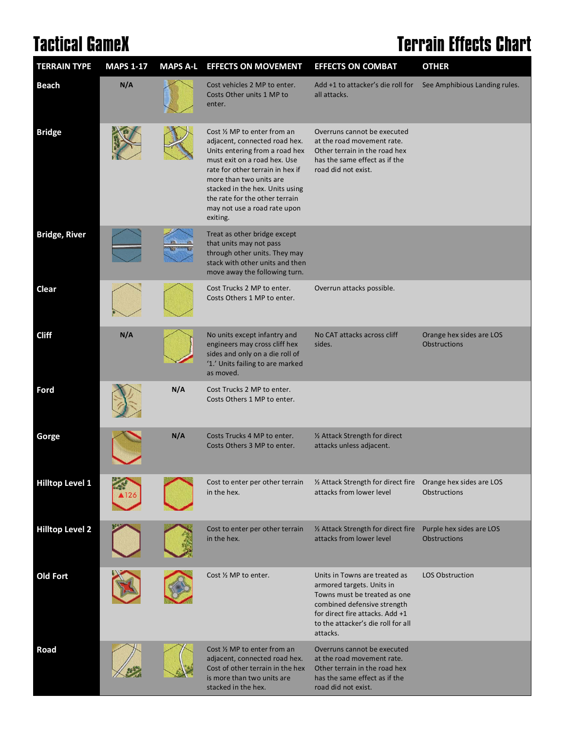## **Tactical GameX Terrain Effects Chart**

| <b>TERRAIN TYPE</b>    | <b>MAPS 1-17</b> |     | MAPS A-L EFFECTS ON MOVEMENT                                                                                                                                                                                                                                                                                    | <b>EFFECTS ON COMBAT</b>                                                                                                                                                                                       | <b>OTHER</b>                                    |
|------------------------|------------------|-----|-----------------------------------------------------------------------------------------------------------------------------------------------------------------------------------------------------------------------------------------------------------------------------------------------------------------|----------------------------------------------------------------------------------------------------------------------------------------------------------------------------------------------------------------|-------------------------------------------------|
| <b>Beach</b>           | N/A              |     | Cost vehicles 2 MP to enter.<br>Costs Other units 1 MP to<br>enter.                                                                                                                                                                                                                                             | Add +1 to attacker's die roll for<br>all attacks.                                                                                                                                                              | See Amphibious Landing rules.                   |
| <b>Bridge</b>          |                  |     | Cost 1/2 MP to enter from an<br>adjacent, connected road hex.<br>Units entering from a road hex<br>must exit on a road hex. Use<br>rate for other terrain in hex if<br>more than two units are<br>stacked in the hex. Units using<br>the rate for the other terrain<br>may not use a road rate upon<br>exiting. | Overruns cannot be executed<br>at the road movement rate.<br>Other terrain in the road hex<br>has the same effect as if the<br>road did not exist.                                                             |                                                 |
| <b>Bridge, River</b>   |                  |     | Treat as other bridge except<br>that units may not pass<br>through other units. They may<br>stack with other units and then<br>move away the following turn.                                                                                                                                                    |                                                                                                                                                                                                                |                                                 |
| <b>Clear</b>           |                  |     | Cost Trucks 2 MP to enter.<br>Costs Others 1 MP to enter.                                                                                                                                                                                                                                                       | Overrun attacks possible.                                                                                                                                                                                      |                                                 |
| <b>Cliff</b>           | N/A              |     | No units except infantry and<br>engineers may cross cliff hex<br>sides and only on a die roll of<br>'1.' Units failing to are marked<br>as moved.                                                                                                                                                               | No CAT attacks across cliff<br>sides.                                                                                                                                                                          | Orange hex sides are LOS<br><b>Obstructions</b> |
| Ford                   |                  | N/A | Cost Trucks 2 MP to enter.<br>Costs Others 1 MP to enter.                                                                                                                                                                                                                                                       |                                                                                                                                                                                                                |                                                 |
| Gorge                  |                  | N/A | Costs Trucks 4 MP to enter.<br>Costs Others 3 MP to enter.                                                                                                                                                                                                                                                      | 1/2 Attack Strength for direct<br>attacks unless adjacent.                                                                                                                                                     |                                                 |
| <b>Hilltop Level 1</b> |                  |     | Cost to enter per other terrain<br>in the hex.                                                                                                                                                                                                                                                                  | 1/2 Attack Strength for direct fire<br>attacks from lower level                                                                                                                                                | Orange hex sides are LOS<br><b>Obstructions</b> |
| <b>Hilltop Level 2</b> |                  |     | Cost to enter per other terrain<br>in the hex.                                                                                                                                                                                                                                                                  | 1/2 Attack Strength for direct fire<br>attacks from lower level                                                                                                                                                | Purple hex sides are LOS<br><b>Obstructions</b> |
| <b>Old Fort</b>        |                  |     | Cost 1/2 MP to enter.                                                                                                                                                                                                                                                                                           | Units in Towns are treated as<br>armored targets. Units in<br>Towns must be treated as one<br>combined defensive strength<br>for direct fire attacks. Add +1<br>to the attacker's die roll for all<br>attacks. | <b>LOS Obstruction</b>                          |
| Road                   |                  |     | Cost 1/2 MP to enter from an<br>adjacent, connected road hex.<br>Cost of other terrain in the hex<br>is more than two units are<br>stacked in the hex.                                                                                                                                                          | Overruns cannot be executed<br>at the road movement rate.<br>Other terrain in the road hex<br>has the same effect as if the<br>road did not exist.                                                             |                                                 |